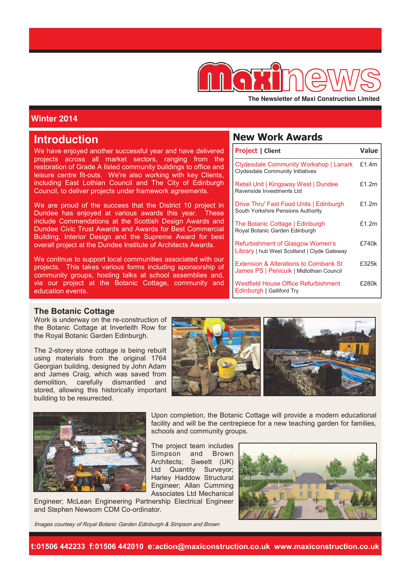

The Newsletter of Maxi Construction Limited

# **Winter 2014**

# **Introduction**

We have enjoyed another successful year and have delivered projects across all market sectors, ranging from the restoration of Grade A listed community buildings to office and leisure centre fit-outs. We're also working with key Clients, including East Lothian Council and The City of Edinburgh Council, to deliver projects under framework agreements.

We are proud of the success that the District 10 project in Dundee has enjoyed at various awards this year. These include Commendations at the Scottish Design Awards and Dundee Civic Trust Awards and Awards for Best Commercial Building, Interior Design and the Supreme Award for best overall project at the Dundee Institute of Architects Awards.

We continue to support local communities associated with our projects. This takes various forms including sponsorship of community groups, hosting talks at school assemblies and, via our project at the Botanic Cottage, community and education events.

# **New Work Awards**

| <b>Project   Client</b>                                                            | Value    |
|------------------------------------------------------------------------------------|----------|
| Clydesdale Community Workshop   Lanark<br><b>Clydesdale Community Initiatives</b>  | £1.4 $m$ |
| Retail Unit   Kingsway West   Dundee<br>Ravenside Investments Ltd                  | £1.2m    |
| Drive Thru' Fast Food Units   Edinburgh<br>South Yorkshire Pensions Authority      | £1.2m    |
| The Botanic Cottage   Edinburgh<br>Royal Botanic Garden Edinburgh                  | f1.2m    |
| Refurbishment of Glasgow Women's<br>Library   hub West Scotland   Clyde Gateway    | £740k    |
| Extension & Alterations to Cornbank St<br>James PS   Penicuik   Midlothian Council | £325k    |
| Westfield House Office Refurbishment<br>Edinburgh   Galliford Try                  | £280k    |

#### **The Botanic Cottage**

Work is underway on the re-construction of the Botanic Cottage at Inverleith Row for the Royal Botanic Garden Edinburgh.

The 2-storey stone cottage is being rebuilt using materials from the original 1764 Georgian building, designed by John Adam and James Craig, which was saved from demolition, carefully dismantled and stored, allowing this historically important building to be resurrected.



Upon completion, the Botanic Cottage will provide a modern educational facility and will be the centrepiece for a new teaching garden for families,



The project team includes Simpson and Brown Architects; Sweett (UK)

Ltd Quantity Surveyor; Harley Haddow Structural Engineer; Allan Cumming Associates Ltd Mechanical

schools and community groups.

Engineer; McLean Engineering Partnership Electrical Engineer and Stephen Newsom CDM Co-ordinator.



Images courtesy of Royal Botanic Garden Edinburgh & Simpson and Brown